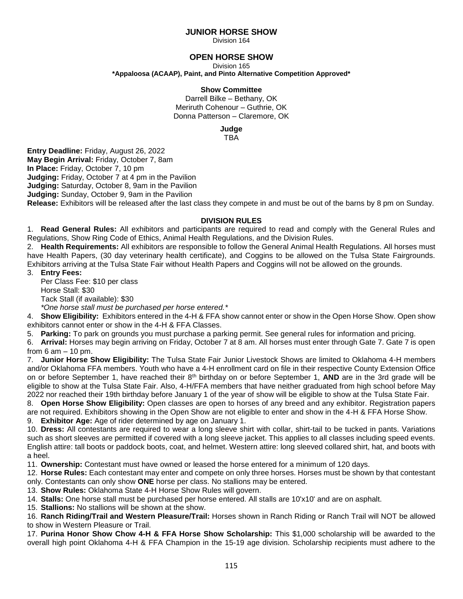## **JUNIOR HORSE SHOW**

Division 164

## **OPEN HORSE SHOW**

Division 165

**\*Appaloosa (ACAAP), Paint, and Pinto Alternative Competition Approved\***

#### **Show Committee**

Darrell Bilke – Bethany, OK Meriruth Cohenour – Guthrie, OK Donna Patterson – Claremore, OK

**Judge**

TBA

**Entry Deadline:** Friday, August 26, 2022 **May Begin Arrival:** Friday, October 7, 8am **In Place:** Friday, October 7, 10 pm **Judging:** Friday, October 7 at 4 pm in the Pavilion **Judging:** Saturday, October 8, 9am in the Pavilion **Judging:** Sunday, October 9, 9am in the Pavilion **Release:** Exhibitors will be released after the last class they compete in and must be out of the barns by 8 pm on Sunday.

### **DIVISION RULES**

1. **Read General Rules:** All exhibitors and participants are required to read and comply with the General Rules and Regulations, Show Ring Code of Ethics, Animal Health Regulations, and the Division Rules.

2. **Health Requirements:** All exhibitors are responsible to follow the General Animal Health Regulations. All horses must have Health Papers, (30 day veterinary health certificate), and Coggins to be allowed on the Tulsa State Fairgrounds. Exhibitors arriving at the Tulsa State Fair without Health Papers and Coggins will not be allowed on the grounds.

3. **Entry Fees:**

Per Class Fee: \$10 per class Horse Stall: \$30 Tack Stall (if available): \$30 *\*One horse stall must be purchased per horse entered.\**

4. **Show Eligibility:** Exhibitors entered in the 4-H & FFA show cannot enter or show in the Open Horse Show. Open show exhibitors cannot enter or show in the 4-H & FFA Classes.

5. **Parking:** To park on grounds you must purchase a parking permit. See general rules for information and pricing.

6. **Arrival:** Horses may begin arriving on Friday, October 7 at 8 am. All horses must enter through Gate 7. Gate 7 is open from  $6$  am  $-10$  pm.

7. **Junior Horse Show Eligibility:** The Tulsa State Fair Junior Livestock Shows are limited to Oklahoma 4-H members and/or Oklahoma FFA members. Youth who have a 4-H enrollment card on file in their respective County Extension Office on or before September 1, have reached their 8th birthday on or before September 1, **AND** are in the 3rd grade will be eligible to show at the Tulsa State Fair. Also, 4-H/FFA members that have neither graduated from high school before May 2022 nor reached their 19th birthday before January 1 of the year of show will be eligible to show at the Tulsa State Fair.

8. **Open Horse Show Eligibility:** Open classes are open to horses of any breed and any exhibitor. Registration papers are not required. Exhibitors showing in the Open Show are not eligible to enter and show in the 4-H & FFA Horse Show.

9. **Exhibitor Age:** Age of rider determined by age on January 1.

10. **Dress:** All contestants are required to wear a long sleeve shirt with collar, shirt-tail to be tucked in pants. Variations such as short sleeves are permitted if covered with a long sleeve jacket. This applies to all classes including speed events. English attire: tall boots or paddock boots, coat, and helmet. Western attire: long sleeved collared shirt, hat, and boots with a heel.

11. **Ownership:** Contestant must have owned or leased the horse entered for a minimum of 120 days.

12. **Horse Rules:** Each contestant may enter and compete on only three horses. Horses must be shown by that contestant only. Contestants can only show **ONE** horse per class. No stallions may be entered.

13. **Show Rules:** Oklahoma State 4-H Horse Show Rules will govern.

14. **Stalls:** One horse stall must be purchased per horse entered. All stalls are 10'x10' and are on asphalt.

15. **Stallions:** No stallions will be shown at the show.

16. **Ranch Riding/Trail and Western Pleasure/Trail:** Horses shown in Ranch Riding or Ranch Trail will NOT be allowed to show in Western Pleasure or Trail.

17. **Purina Honor Show Chow 4-H & FFA Horse Show Scholarship:** This \$1,000 scholarship will be awarded to the overall high point Oklahoma 4-H & FFA Champion in the 15-19 age division. Scholarship recipients must adhere to the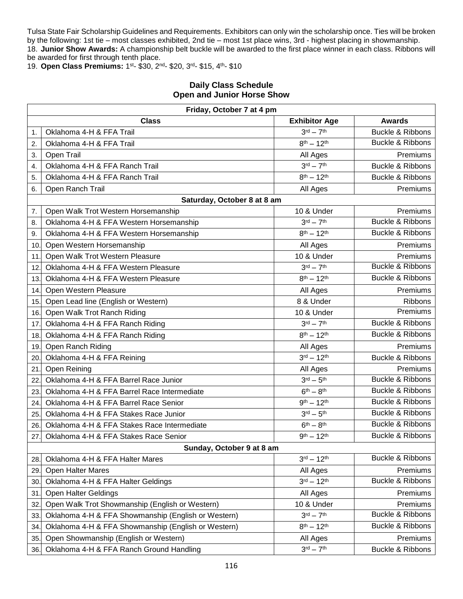Tulsa State Fair Scholarship Guidelines and Requirements. Exhibitors can only win the scholarship once. Ties will be broken by the following: 1st tie – most classes exhibited, 2nd tie – most 1st place wins, 3rd - highest placing in showmanship. 18. **Junior Show Awards:** A championship belt buckle will be awarded to the first place winner in each class. Ribbons will be awarded for first through tenth place.

19. **Open Class Premiums:** 1 st- \$30, 2nd- \$20, 3rd- \$15, 4th- \$10

# **Daily Class Schedule Open and Junior Horse Show**

| Friday, October 7 at 4 pm |                                                     |                                  |                             |  |  |
|---------------------------|-----------------------------------------------------|----------------------------------|-----------------------------|--|--|
|                           | <b>Class</b>                                        | <b>Exhibitor Age</b>             | <b>Awards</b>               |  |  |
| 1.                        | Oklahoma 4-H & FFA Trail                            | $3^{\text{rd}} - 7^{\text{th}}$  | <b>Buckle &amp; Ribbons</b> |  |  |
| $\overline{2}$ .          | Oklahoma 4-H & FFA Trail                            | $8^{th} - 12^{th}$               | Buckle & Ribbons            |  |  |
| 3.                        | Open Trail                                          | All Ages                         | Premiums                    |  |  |
| 4.                        | Oklahoma 4-H & FFA Ranch Trail                      | $3rd - 7th$                      | <b>Buckle &amp; Ribbons</b> |  |  |
| 5.                        | Oklahoma 4-H & FFA Ranch Trail                      | $8^{th} - 12^{th}$               | <b>Buckle &amp; Ribbons</b> |  |  |
| 6.                        | Open Ranch Trail                                    | All Ages                         | Premiums                    |  |  |
|                           | Saturday, October 8 at 8 am                         |                                  |                             |  |  |
| 7.                        | Open Walk Trot Western Horsemanship                 | 10 & Under                       | Premiums                    |  |  |
| 8.                        | Oklahoma 4-H & FFA Western Horsemanship             | $3rd - 7th$                      | <b>Buckle &amp; Ribbons</b> |  |  |
| 9.                        | Oklahoma 4-H & FFA Western Horsemanship             | $8^{th} - 12^{th}$               | <b>Buckle &amp; Ribbons</b> |  |  |
| 10.                       | Open Western Horsemanship                           | All Ages                         | Premiums                    |  |  |
| 11                        | Open Walk Trot Western Pleasure                     | 10 & Under                       | Premiums                    |  |  |
| 12                        | Oklahoma 4-H & FFA Western Pleasure                 | $3rd - 7th$                      | Buckle & Ribbons            |  |  |
| 13.                       | Oklahoma 4-H & FFA Western Pleasure                 | $8^{th} - 12^{th}$               | <b>Buckle &amp; Ribbons</b> |  |  |
| 14.                       | Open Western Pleasure                               | All Ages                         | Premiums                    |  |  |
| 15.                       | Open Lead line (English or Western)                 | 8 & Under                        | <b>Ribbons</b>              |  |  |
| 16.                       | Open Walk Trot Ranch Riding                         | 10 & Under                       | Premiums                    |  |  |
| 17.                       | Oklahoma 4-H & FFA Ranch Riding                     | $3rd - 7th$                      | Buckle & Ribbons            |  |  |
| 18.                       | Oklahoma 4-H & FFA Ranch Riding                     | $8^{th} - 12^{th}$               | Buckle & Ribbons            |  |  |
| 19.                       | Open Ranch Riding                                   | All Ages                         | Premiums                    |  |  |
| 20.                       | Oklahoma 4-H & FFA Reining                          | $3^{\text{rd}} - 12^{\text{th}}$ | Buckle & Ribbons            |  |  |
| 21                        | Open Reining                                        | All Ages                         | Premiums                    |  |  |
| 22.                       | Oklahoma 4-H & FFA Barrel Race Junior               | $3^{\text{rd}} - 5^{\text{th}}$  | Buckle & Ribbons            |  |  |
| 23.                       | Oklahoma 4-H & FFA Barrel Race Intermediate         | $6th - 8th$                      | <b>Buckle &amp; Ribbons</b> |  |  |
| 24.                       | Oklahoma 4-H & FFA Barrel Race Senior               | $9^{th} - 12^{th}$               | Buckle & Ribbons            |  |  |
| 25                        | Oklahoma 4-H & FFA Stakes Race Junior               | $3rd - 5th$                      | <b>Buckle &amp; Ribbons</b> |  |  |
| 26.                       | Oklahoma 4-H & FFA Stakes Race Intermediate         | $6th - 8th$                      | Buckle & Ribbons            |  |  |
| 27                        | Oklahoma 4-H & FFA Stakes Race Senior               | $9th - 12th$                     | <b>Buckle &amp; Ribbons</b> |  |  |
|                           | Sunday, October 9 at 8 am                           |                                  |                             |  |  |
| 28.                       | Oklahoma 4-H & FFA Halter Mares                     | $3^{\text{rd}} - 12^{\text{th}}$ | <b>Buckle &amp; Ribbons</b> |  |  |
| 29.                       | Open Halter Mares                                   | All Ages                         | Premiums                    |  |  |
| 30                        | Oklahoma 4-H & FFA Halter Geldings                  | $3^{\text{rd}} - 12^{\text{th}}$ | Buckle & Ribbons            |  |  |
| 31.                       | Open Halter Geldings                                | All Ages                         | Premiums                    |  |  |
| 32                        | Open Walk Trot Showmanship (English or Western)     | 10 & Under                       | Premiums                    |  |  |
| 33.                       | Oklahoma 4-H & FFA Showmanship (English or Western) | $3rd - 7th$                      | <b>Buckle &amp; Ribbons</b> |  |  |
| 34                        | Oklahoma 4-H & FFA Showmanship (English or Western) | $8^{th} - 12^{th}$               | <b>Buckle &amp; Ribbons</b> |  |  |
| 35.                       | Open Showmanship (English or Western)               | All Ages                         | Premiums                    |  |  |
| 36.                       | Oklahoma 4-H & FFA Ranch Ground Handling            | $3rd - 7th$                      | Buckle & Ribbons            |  |  |